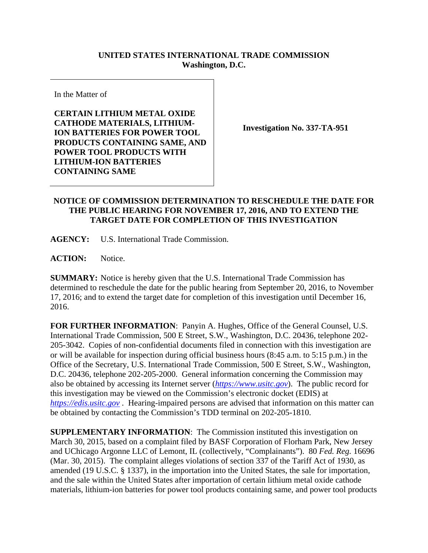## **UNITED STATES INTERNATIONAL TRADE COMMISSION Washington, D.C.**

In the Matter of

**CERTAIN LITHIUM METAL OXIDE CATHODE MATERIALS, LITHIUM-ION BATTERIES FOR POWER TOOL PRODUCTS CONTAINING SAME, AND POWER TOOL PRODUCTS WITH LITHIUM-ION BATTERIES CONTAINING SAME** 

**Investigation No. 337-TA-951** 

## **NOTICE OF COMMISSION DETERMINATION TO RESCHEDULE THE DATE FOR THE PUBLIC HEARING FOR NOVEMBER 17, 2016, AND TO EXTEND THE TARGET DATE FOR COMPLETION OF THIS INVESTIGATION**

**AGENCY:** U.S. International Trade Commission.

**ACTION:** Notice.

**SUMMARY:** Notice is hereby given that the U.S. International Trade Commission has determined to reschedule the date for the public hearing from September 20, 2016, to November 17, 2016; and to extend the target date for completion of this investigation until December 16, 2016.

**FOR FURTHER INFORMATION**: Panyin A. Hughes, Office of the General Counsel, U.S. International Trade Commission, 500 E Street, S.W., Washington, D.C. 20436, telephone 202- 205-3042. Copies of non-confidential documents filed in connection with this investigation are or will be available for inspection during official business hours (8:45 a.m. to 5:15 p.m.) in the Office of the Secretary, U.S. International Trade Commission, 500 E Street, S.W., Washington, D.C. 20436, telephone 202-205-2000. General information concerning the Commission may also be obtained by accessing its Internet server (*https://www.usitc.gov*). The public record for this investigation may be viewed on the Commission's electronic docket (EDIS) at *https://edis.usitc.gov* . Hearing-impaired persons are advised that information on this matter can be obtained by contacting the Commission's TDD terminal on 202-205-1810.

**SUPPLEMENTARY INFORMATION:** The Commission instituted this investigation on March 30, 2015, based on a complaint filed by BASF Corporation of Florham Park, New Jersey and UChicago Argonne LLC of Lemont, IL (collectively, "Complainants"). 80 *Fed. Reg.* 16696 (Mar. 30, 2015). The complaint alleges violations of section 337 of the Tariff Act of 1930, as amended (19 U.S.C. § 1337), in the importation into the United States, the sale for importation, and the sale within the United States after importation of certain lithium metal oxide cathode materials, lithium-ion batteries for power tool products containing same, and power tool products